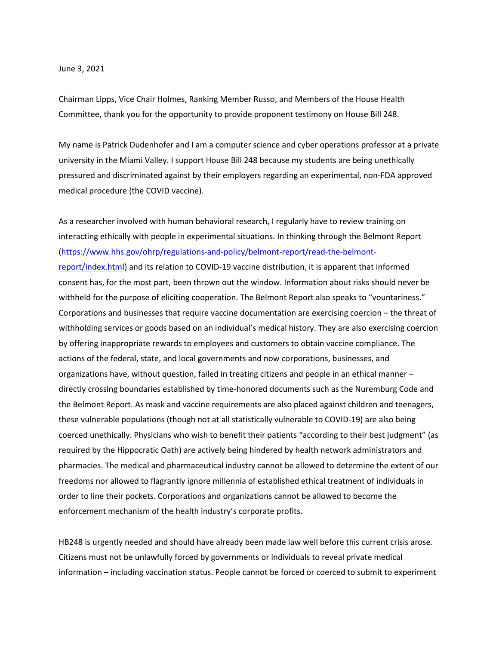## June 3, 2021

Chairman Lipps, Vice Chair Holmes, Ranking Member Russo, and Members of the House Health Committee, thank you for the opportunity to provide proponent testimony on House Bill 248.

My name is Patrick Dudenhofer and I am a computer science and cyber operations professor at a private university in the Miami Valley. I support House Bill 248 because my students are being unethically pressured and discriminated against by their employers regarding an experimental, non-FDA approved medical procedure (the COVID vaccine).

As a researcher involved with human behavioral research, I regularly have to review training on interacting ethically with people in experimental situations. In thinking through the Belmont Report [\(https://www.hhs.gov/ohrp/regulations-and-policy/belmont-report/read-the-belmont](https://www.hhs.gov/ohrp/regulations-and-policy/belmont-report/read-the-belmont-report/index.html)[report/index.html\)](https://www.hhs.gov/ohrp/regulations-and-policy/belmont-report/read-the-belmont-report/index.html) and its relation to COVID-19 vaccine distribution, it is apparent that informed consent has, for the most part, been thrown out the window. Information about risks should never be withheld for the purpose of eliciting cooperation. The Belmont Report also speaks to "vountariness." Corporations and businesses that require vaccine documentation are exercising coercion – the threat of withholding services or goods based on an individual's medical history. They are also exercising coercion by offering inappropriate rewards to employees and customers to obtain vaccine compliance. The actions of the federal, state, and local governments and now corporations, businesses, and organizations have, without question, failed in treating citizens and people in an ethical manner – directly crossing boundaries established by time-honored documents such as the Nuremburg Code and the Belmont Report. As mask and vaccine requirements are also placed against children and teenagers, these vulnerable populations (though not at all statistically vulnerable to COVID-19) are also being coerced unethically. Physicians who wish to benefit their patients "according to their best judgment" (as required by the Hippocratic Oath) are actively being hindered by health network administrators and pharmacies. The medical and pharmaceutical industry cannot be allowed to determine the extent of our freedoms nor allowed to flagrantly ignore millennia of established ethical treatment of individuals in order to line their pockets. Corporations and organizations cannot be allowed to become the enforcement mechanism of the health industry's corporate profits.

HB248 is urgently needed and should have already been made law well before this current crisis arose. Citizens must not be unlawfully forced by governments or individuals to reveal private medical information – including vaccination status. People cannot be forced or coerced to submit to experiment